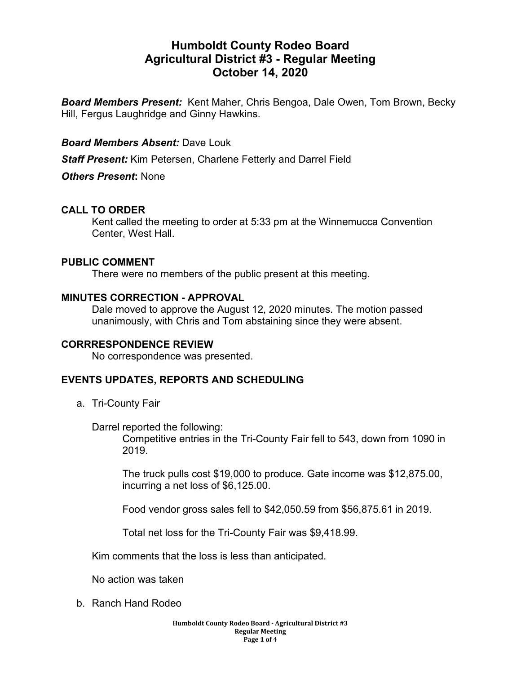# **Humboldt County Rodeo Board Agricultural District #3 - Regular Meeting October 14, 2020**

*Board Members Present:* Kent Maher, Chris Bengoa, Dale Owen, Tom Brown, Becky Hill, Fergus Laughridge and Ginny Hawkins.

## *Board Members Absent:* Dave Louk

*Staff Present:* Kim Petersen, Charlene Fetterly and Darrel Field

*Others Present***:** None

## **CALL TO ORDER**

Kent called the meeting to order at 5:33 pm at the Winnemucca Convention Center, West Hall.

## **PUBLIC COMMENT**

There were no members of the public present at this meeting.

## **MINUTES CORRECTION - APPROVAL**

Dale moved to approve the August 12, 2020 minutes. The motion passed unanimously, with Chris and Tom abstaining since they were absent.

## **CORRRESPONDENCE REVIEW**

No correspondence was presented.

## **EVENTS UPDATES, REPORTS AND SCHEDULING**

a. Tri-County Fair

Darrel reported the following:

Competitive entries in the Tri-County Fair fell to 543, down from 1090 in 2019.

The truck pulls cost \$19,000 to produce. Gate income was \$12,875.00, incurring a net loss of \$6,125.00.

Food vendor gross sales fell to \$42,050.59 from \$56,875.61 in 2019.

Total net loss for the Tri-County Fair was \$9,418.99.

Kim comments that the loss is less than anticipated.

No action was taken

b. Ranch Hand Rodeo

**Humboldt County Rodeo Board - Agricultural District #3 Regular Meeting Page 1 of** 4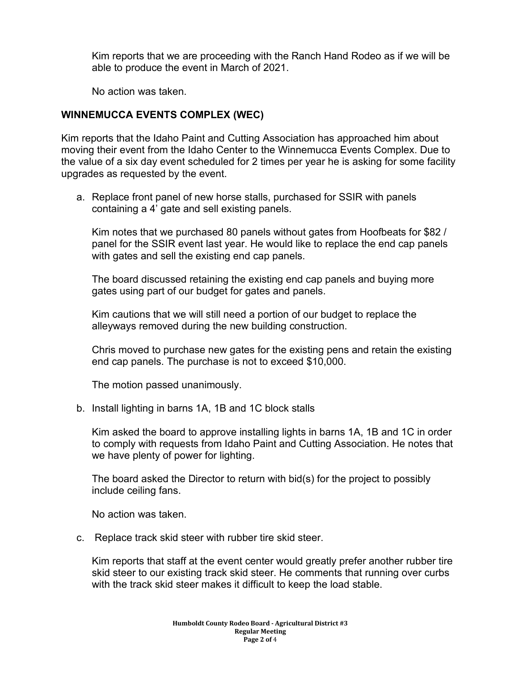Kim reports that we are proceeding with the Ranch Hand Rodeo as if we will be able to produce the event in March of 2021.

No action was taken.

## **WINNEMUCCA EVENTS COMPLEX (WEC)**

Kim reports that the Idaho Paint and Cutting Association has approached him about moving their event from the Idaho Center to the Winnemucca Events Complex. Due to the value of a six day event scheduled for 2 times per year he is asking for some facility upgrades as requested by the event.

a. Replace front panel of new horse stalls, purchased for SSIR with panels containing a 4' gate and sell existing panels.

Kim notes that we purchased 80 panels without gates from Hoofbeats for \$82 / panel for the SSIR event last year. He would like to replace the end cap panels with gates and sell the existing end cap panels.

The board discussed retaining the existing end cap panels and buying more gates using part of our budget for gates and panels.

Kim cautions that we will still need a portion of our budget to replace the alleyways removed during the new building construction.

Chris moved to purchase new gates for the existing pens and retain the existing end cap panels. The purchase is not to exceed \$10,000.

The motion passed unanimously.

b. Install lighting in barns 1A, 1B and 1C block stalls

Kim asked the board to approve installing lights in barns 1A, 1B and 1C in order to comply with requests from Idaho Paint and Cutting Association. He notes that we have plenty of power for lighting.

The board asked the Director to return with bid(s) for the project to possibly include ceiling fans.

No action was taken.

c. Replace track skid steer with rubber tire skid steer.

Kim reports that staff at the event center would greatly prefer another rubber tire skid steer to our existing track skid steer. He comments that running over curbs with the track skid steer makes it difficult to keep the load stable.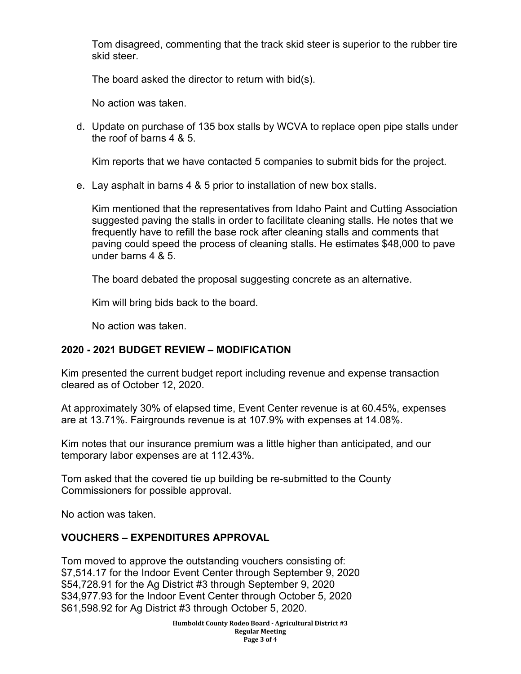Tom disagreed, commenting that the track skid steer is superior to the rubber tire skid steer.

The board asked the director to return with bid(s).

No action was taken.

d. Update on purchase of 135 box stalls by WCVA to replace open pipe stalls under the roof of barns 4 & 5.

Kim reports that we have contacted 5 companies to submit bids for the project.

e. Lay asphalt in barns 4 & 5 prior to installation of new box stalls.

Kim mentioned that the representatives from Idaho Paint and Cutting Association suggested paving the stalls in order to facilitate cleaning stalls. He notes that we frequently have to refill the base rock after cleaning stalls and comments that paving could speed the process of cleaning stalls. He estimates \$48,000 to pave under barns 4 & 5.

The board debated the proposal suggesting concrete as an alternative.

Kim will bring bids back to the board.

No action was taken.

# **2020 - 2021 BUDGET REVIEW – MODIFICATION**

Kim presented the current budget report including revenue and expense transaction cleared as of October 12, 2020.

At approximately 30% of elapsed time, Event Center revenue is at 60.45%, expenses are at 13.71%. Fairgrounds revenue is at 107.9% with expenses at 14.08%.

Kim notes that our insurance premium was a little higher than anticipated, and our temporary labor expenses are at 112.43%.

Tom asked that the covered tie up building be re-submitted to the County Commissioners for possible approval.

No action was taken.

# **VOUCHERS – EXPENDITURES APPROVAL**

Tom moved to approve the outstanding vouchers consisting of: \$7,514.17 for the Indoor Event Center through September 9, 2020 \$54,728.91 for the Ag District #3 through September 9, 2020 \$34,977.93 for the Indoor Event Center through October 5, 2020 \$61,598.92 for Ag District #3 through October 5, 2020.

> **Humboldt County Rodeo Board - Agricultural District #3 Regular Meeting Page 3 of** 4